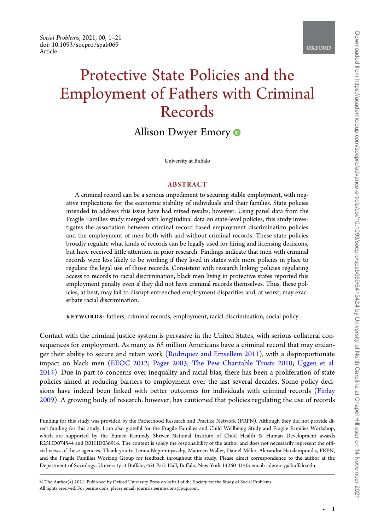# Protective State Policies and the Employment of Fathers with Criminal Records

Allison Dwyer Emory  $\bullet$ 

University at Buffalo

## ABSTRACT

A criminal record can be a serious impediment to securing stable employment, with negative implications for the economic stability of individuals and their families. State policies intended to address this issue have had mixed results, however. Using panel data from the Fragile Families study merged with longitudinal data on state-level policies, this study investigates the association between criminal record based employment discrimination policies and the employment of men both with and without criminal records. These state policies broadly regulate what kinds of records can be legally used for hiring and licensing decisions, but have received little attention in prior research. Findings indicate that men with criminal records were less likely to be working if they lived in states with more policies in place to regulate the legal use of those records. Consistent with research linking policies regulating access to records to racial discrimination, black men living in protective states reported this employment penalty even if they did not have criminal records themselves. Thus, these policies, at best, may fail to disrupt entrenched employment disparities and, at worst, may exacerbate racial discrimination.

KEYWORDS: fathers, criminal records, employment, racial discrimination, social policy.

Contact with the criminal justice system is pervasive in the United States, with serious collateral consequences for employment. As many as 65 million Americans have a criminal record that may endanger their ability to secure and retain work (Rodriquez and Emsellem 2011), with a disproportionate impact on black men (EEOC 2012; Pager 2003; The Pew Charitable Trusts 2010; Uggen et al. 2014). Due in part to concerns over inequality and racial bias, there has been a proliferation of state policies aimed at reducing barriers to employment over the last several decades. Some policy decisions have indeed been linked with better outcomes for individuals with criminal records (Finlay 2009). A growing body of research, however, has cautioned that policies regulating the use of records

Funding for this study was provided by the Fatherhood Research and Practice Network (FRPN). Although they did not provide direct funding for this study, I am also grateful for the Fragile Families and Child Wellbeing Study and Fragile Families Workshop, which are supported by the Eunice Kennedy Shriver National Institute of Child Health & Human Development awards R25HD074544 and R01HD036916. The content is solely the responsibility of the author and does not necessarily represent the official views of these agencies. Thank you to Lenna Nepomnyaschy, Maureen Waller, Daniel Miller, Alexandra Haralampoudis, FRPN, and the Fragile Families Working Group for feedback throughout this study. Please direct correspondence to the author at the Department of Sociology, University at Buffalo, 464 Park Hall, Buffalo, New York 14260-4140; email: ademory@buffalo.edu.

V<sup>C</sup> The Author(s) 2021. Published by Oxford University Press on behalf of the Society for the Study of Social Problems. All rights reserved. For permissions, please email: journals.permissions@oup.com.

-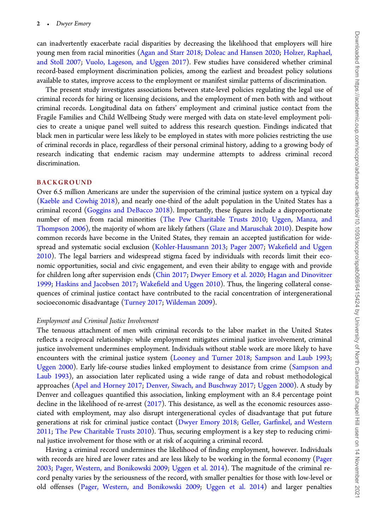can inadvertently exacerbate racial disparities by decreasing the likelihood that employers will hire young men from racial minorities (Agan and Starr 2018; Doleac and Hansen 2020; Holzer, Raphael, and Stoll 2007; Vuolo, Lageson, and Uggen 2017). Few studies have considered whether criminal record-based employment discrimination policies, among the earliest and broadest policy solutions available to states, improve access to the employment or manifest similar patterns of discrimination.

The present study investigates associations between state-level policies regulating the legal use of criminal records for hiring or licensing decisions, and the employment of men both with and without criminal records. Longitudinal data on fathers' employment and criminal justice contact from the Fragile Families and Child Wellbeing Study were merged with data on state-level employment policies to create a unique panel well suited to address this research question. Findings indicated that black men in particular were less likely to be employed in states with more policies restricting the use of criminal records in place, regardless of their personal criminal history, adding to a growing body of research indicating that endemic racism may undermine attempts to address criminal record discrimination.

## BACKGROUND

Over 6.5 million Americans are under the supervision of the criminal justice system on a typical day (Kaeble and Cowhig 2018), and nearly one-third of the adult population in the United States has a criminal record (Goggins and DeBacco 2018). Importantly, these figures include a disproportionate number of men from racial minorities (The Pew Charitable Trusts 2010; Uggen, Manza, and Thompson 2006), the majority of whom are likely fathers (Glaze and Maruschak 2010). Despite how common records have become in the United States, they remain an accepted justification for widespread and systematic social exclusion (Kohler-Hausmann 2013; Pager 2007; Wakefield and Uggen 2010). The legal barriers and widespread stigma faced by individuals with records limit their economic opportunities, social and civic engagement, and even their ability to engage with and provide for children long after supervision ends (Chin 2017; Dwyer Emory et al. 2020; Hagan and Dinovitzer 1999; Haskins and Jacobsen 2017; Wakefield and Uggen 2010). Thus, the lingering collateral consequences of criminal justice contact have contributed to the racial concentration of intergenerational socioeconomic disadvantage (Turney 2017; Wildeman 2009).

#### Employment and Criminal Justice Involvement

The tenuous attachment of men with criminal records to the labor market in the United States reflects a reciprocal relationship: while employment mitigates criminal justice involvement, criminal justice involvement undermines employment. Individuals without stable work are more likely to have encounters with the criminal justice system (Looney and Turner 2018; Sampson and Laub 1993; Uggen 2000). Early life-course studies linked employment to desistance from crime (Sampson and Laub 1993), an association later replicated using a wide range of data and robust methodological approaches (Apel and Horney 2017; Denver, Siwach, and Buschway 2017; Uggen 2000). A study by Denver and colleagues quantified this association, linking employment with an 8.4 percentage point decline in the likelihood of re-arrest  $(2017)$ . This desistance, as well as the economic resources associated with employment, may also disrupt intergenerational cycles of disadvantage that put future generations at risk for criminal justice contact (Dwyer Emory 2018; Geller, Garfinkel, and Western 2011; The Pew Charitable Trusts 2010). Thus, securing employment is a key step to reducing criminal justice involvement for those with or at risk of acquiring a criminal record.

Having a criminal record undermines the likelihood of finding employment, however. Individuals with records are hired are lower rates and are less likely to be working in the formal economy (Pager 2003; Pager, Western, and Bonikowski 2009; Uggen et al. 2014). The magnitude of the criminal record penalty varies by the seriousness of the record, with smaller penalties for those with low-level or old offenses (Pager, Western, and Bonikowski 2009; Uggen et al. 2014) and larger penalties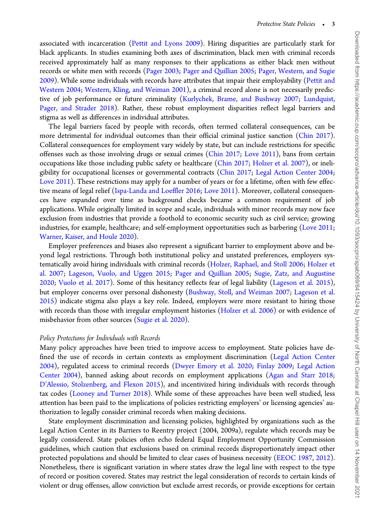associated with incarceration (Pettit and Lyons 2009). Hiring disparities are particularly stark for black applicants. In studies examining both axes of discrimination, black men with criminal records received approximately half as many responses to their applications as either black men without records or white men with records (Pager 2003; Pager and Quillian 2005; Pager, Western, and Sugie 2009). While some individuals with records have attributes that impair their employability (Pettit and Western 2004; Western, Kling, and Weiman 2001), a criminal record alone is not necessarily predictive of job performance or future criminality (Kurlychek, Brame, and Bushway 2007; Lundquist, Pager, and Strader 2018). Rather, these robust employment disparities reflect legal barriers and stigma as well as differences in individual attributes.

The legal barriers faced by people with records, often termed collateral consequences, can be more detrimental for individual outcomes than their official criminal justice sanction (Chin 2017). Collateral consequences for employment vary widely by state, but can include restrictions for specific offenses such as those involving drugs or sexual crimes (Chin 2017; Love 2011), bans from certain occupations like those including public safety or healthcare (Chin 2017; Holzer et al. 2007), or ineligibility for occupational licenses or governmental contracts (Chin 2017; Legal Action Center 2004; Love 2011). These restrictions may apply for a number of years or for a lifetime, often with few effective means of legal relief (Ispa-Landa and Loeffler 2016; Love 2011). Moreover, collateral consequences have expanded over time as background checks became a common requirement of job applications. While originally limited in scope and scale, individuals with minor records may now face exclusion from industries that provide a foothold to economic security such as civil service; growing industries, for example, healthcare; and self-employment opportunities such as barbering (Love 2011; Warner, Kaiser, and Houle 2020).

Employer preferences and biases also represent a significant barrier to employment above and beyond legal restrictions. Through both institutional policy and unstated preferences, employers systematically avoid hiring individuals with criminal records (Holzer, Raphael, and Stoll 2006; Holzer et al. 2007; Lageson, Vuolo, and Uggen 2015; Pager and Quillian 2005; Sugie, Zatz, and Augustine 2020; Vuolo et al. 2017). Some of this hesitancy reflects fear of legal liability (Lageson et al. 2015), but employer concerns over personal dishonesty (Bushway, Stoll, and Weiman 2007; Lageson et al. 2015) indicate stigma also plays a key role. Indeed, employers were more resistant to hiring those with records than those with irregular employment histories (Holzer et al. 2006) or with evidence of misbehavior from other sources (Sugie et al. 2020).

#### Policy Protections for Individuals with Records

Many policy approaches have been tried to improve access to employment. State policies have defined the use of records in certain contexts as employment discrimination (Legal Action Center 2004), regulated access to criminal records (Dwyer Emory et al. 2020; Finlay 2009; Legal Action Center 2004), banned asking about records on employment applications (Agan and Starr 2018; D'Alessio, Stolzenberg, and Flexon 2015), and incentivized hiring individuals with records through tax codes (Looney and Turner 2018). While some of these approaches have been well studied, less attention has been paid to the implications of policies restricting employers' or licensing agencies' authorization to legally consider criminal records when making decisions.

State employment discrimination and licensing policies, highlighted by organizations such as the Legal Action Center in its Barriers to Reentry project (2004, 2009a), regulate which records may be legally considered. State policies often echo federal Equal Employment Opportunity Commission guidelines, which caution that exclusions based on criminal records disproportionately impact other protected populations and should be limited to clear cases of business necessity (EEOC 1987, 2012). Nonetheless, there is significant variation in where states draw the legal line with respect to the type of record or position covered. States may restrict the legal consideration of records to certain kinds of violent or drug offenses, allow conviction but exclude arrest records, or provide exceptions for certain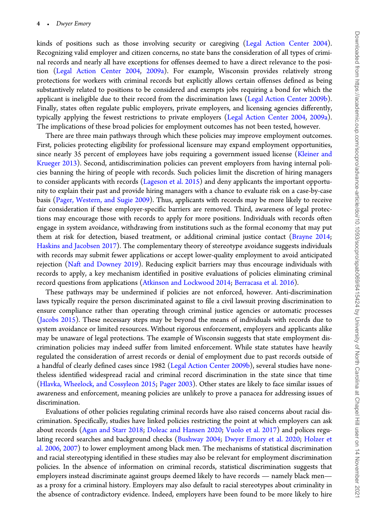kinds of positions such as those involving security or caregiving (Legal Action Center 2004). Recognizing valid employer and citizen concerns, no state bans the consideration of all types of criminal records and nearly all have exceptions for offenses deemed to have a direct relevance to the position (Legal Action Center 2004, 2009a). For example, Wisconsin provides relatively strong protections for workers with criminal records but explicitly allows certain offenses defined as being substantively related to positions to be considered and exempts jobs requiring a bond for which the applicant is ineligible due to their record from the discrimination laws (Legal Action Center 2009b). Finally, states often regulate public employers, private employers, and licensing agencies differently, typically applying the fewest restrictions to private employers (Legal Action Center 2004, 2009a). The implications of these broad policies for employment outcomes has not been tested, however.

There are three main pathways through which these policies may improve employment outcomes. First, policies protecting eligibility for professional licensure may expand employment opportunities, since nearly 35 percent of employees have jobs requiring a government issued license (Kleiner and Krueger 2013). Second, antidiscrimination policies can prevent employers from having internal policies banning the hiring of people with records. Such policies limit the discretion of hiring managers to consider applicants with records (Lageson et al. 2015) and deny applicants the important opportunity to explain their past and provide hiring managers with a chance to evaluate risk on a case-by-case basis (Pager, Western, and Sugie 2009). Thus, applicants with records may be more likely to receive fair consideration if these employer-specific barriers are removed. Third, awareness of legal protections may encourage those with records to apply for more positions. Individuals with records often engage in system avoidance, withdrawing from institutions such as the formal economy that may put them at risk for detection, biased treatment, or additional criminal justice contact (Brayne 2014; Haskins and Jacobsen 2017). The complementary theory of stereotype avoidance suggests individuals with records may submit fewer applications or accept lower-quality employment to avoid anticipated rejection (Naft and Downey 2019). Reducing explicit barriers may thus encourage individuals with records to apply, a key mechanism identified in positive evaluations of policies eliminating criminal record questions from applications (Atkinson and Lockwood 2014; Berracasa et al. 2016).

These pathways may be undermined if policies are not enforced, however. Anti-discrimination laws typically require the person discriminated against to file a civil lawsuit proving discrimination to ensure compliance rather than operating through criminal justice agencies or automatic processes (Jacobs 2015). These necessary steps may be beyond the means of individuals with records due to system avoidance or limited resources. Without rigorous enforcement, employers and applicants alike may be unaware of legal protections. The example of Wisconsin suggests that state employment discrimination policies may indeed suffer from limited enforcement. While state statutes have heavily regulated the consideration of arrest records or denial of employment due to past records outside of a handful of clearly defined cases since 1982 (Legal Action Center 2009b), several studies have nonetheless identified widespread racial and criminal record discrimination in the state since that time (Hlavka, Wheelock, and Cossyleon 2015; Pager 2003). Other states are likely to face similar issues of awareness and enforcement, meaning policies are unlikely to prove a panacea for addressing issues of discrimination.

Evaluations of other policies regulating criminal records have also raised concerns about racial discrimination. Specifically, studies have linked policies restricting the point at which employers can ask about records (Agan and Starr 2018; Doleac and Hansen 2020; Vuolo et al. 2017) and polices regulating record searches and background checks (Bushway 2004; Dwyer Emory et al. 2020; Holzer et al. 2006, 2007) to lower employment among black men. The mechanisms of statistical discrimination and racial stereotyping identified in these studies may also be relevant for employment discrimination policies. In the absence of information on criminal records, statistical discrimination suggests that employers instead discriminate against groups deemed likely to have records — namely black men as a proxy for a criminal history. Employers may also default to racial stereotypes about criminality in the absence of contradictory evidence. Indeed, employers have been found to be more likely to hire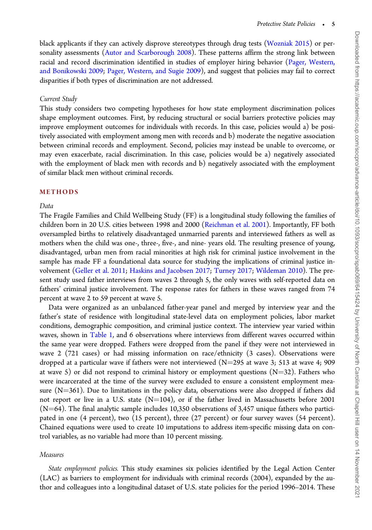black applicants if they can actively disprove stereotypes through drug tests (Wozniak 2015) or personality assessments (Autor and Scarborough 2008). These patterns affirm the strong link between racial and record discrimination identified in studies of employer hiring behavior (Pager, Western, and Bonikowski 2009; Pager, Western, and Sugie 2009), and suggest that policies may fail to correct disparities if both types of discrimination are not addressed.

## Current Study

This study considers two competing hypotheses for how state employment discrimination polices shape employment outcomes. First, by reducing structural or social barriers protective policies may improve employment outcomes for individuals with records. In this case, policies would a) be positively associated with employment among men with records and b) moderate the negative association between criminal records and employment. Second, policies may instead be unable to overcome, or may even exacerbate, racial discrimination. In this case, policies would be a) negatively associated with the employment of black men with records and b) negatively associated with the employment of similar black men without criminal records.

## METHODS

## Data

The Fragile Families and Child Wellbeing Study (FF) is a longitudinal study following the families of children born in 20 U.S. cities between 1998 and 2000 (Reichman et al. 2001). Importantly, FF both oversampled births to relatively disadvantaged unmarried parents and interviewed fathers as well as mothers when the child was one-, three-, five-, and nine- years old. The resulting presence of young, disadvantaged, urban men from racial minorities at high risk for criminal justice involvement in the sample has made FF a foundational data source for studying the implications of criminal justice involvement (Geller et al. 2011; Haskins and Jacobsen 2017; Turney 2017; Wildeman 2010). The present study used father interviews from waves 2 through 5, the only waves with self-reported data on fathers' criminal justice involvement. The response rates for fathers in these waves ranged from 74 percent at wave 2 to 59 percent at wave 5.

Data were organized as an unbalanced father-year panel and merged by interview year and the father's state of residence with longitudinal state-level data on employment policies, labor market conditions, demographic composition, and criminal justice context. The interview year varied within waves, shown in Table 1, and 6 observations where interviews from different waves occurred within the same year were dropped. Fathers were dropped from the panel if they were not interviewed in wave 2 (721 cases) or had missing information on race/ethnicity (3 cases). Observations were dropped at a particular wave if fathers were not interviewed ( $N=295$  at wave 3; 513 at wave 4; 909 at wave 5) or did not respond to criminal history or employment questions ( $N=32$ ). Fathers who were incarcerated at the time of the survey were excluded to ensure a consistent employment measure  $(N=361)$ . Due to limitations in the policy data, observations were also dropped if fathers did not report or live in a U.S. state  $(N=104)$ , or if the father lived in Massachusetts before 2001  $(N=64)$ . The final analytic sample includes 10,350 observations of 3,457 unique fathers who participated in one (4 percent), two (15 percent), three (27 percent) or four survey waves (54 percent). Chained equations were used to create 10 imputations to address item-specific missing data on control variables, as no variable had more than 10 percent missing.

## Measures

State employment policies. This study examines six policies identified by the Legal Action Center (LAC) as barriers to employment for individuals with criminal records (2004), expanded by the author and colleagues into a longitudinal dataset of U.S. state policies for the period 1996–2014. These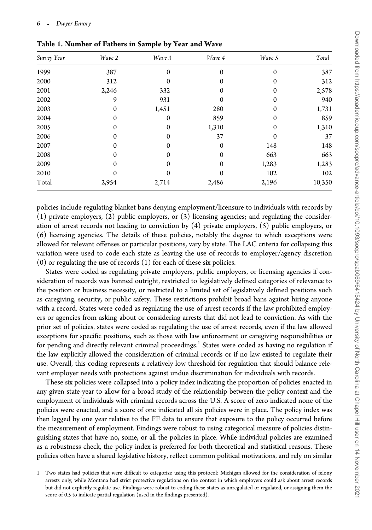| Survey Year | Wave 2 | Wave 3       | Wave 4   | Wave 5       | Total  |
|-------------|--------|--------------|----------|--------------|--------|
| 1999        | 387    | $\mathbf{0}$ | $\Omega$ | $\mathbf{0}$ | 387    |
| 2000        | 312    | 0            | $\Omega$ | $\Omega$     | 312    |
| 2001        | 2,246  | 332          | 0        | 0            | 2,578  |
| 2002        | 9      | 931          | $\Omega$ | $\Omega$     | 940    |
| 2003        | 0      | 1,451        | 280      | 0            | 1,731  |
| 2004        | 0      | $\Omega$     | 859      | $\Omega$     | 859    |
| 2005        | 0      | $\mathbf{0}$ | 1,310    | 0            | 1,310  |
| 2006        | 0      | $\Omega$     | 37       | $\Omega$     | 37     |
| 2007        | 0      | $\Omega$     | 0        | 148          | 148    |
| 2008        | 0      | $\Omega$     | 0        | 663          | 663    |
| 2009        | 0      | $\Omega$     | 0        | 1,283        | 1,283  |
| 2010        | 0      | 0            | 0        | 102          | 102    |
| Total       | 2,954  | 2,714        | 2,486    | 2,196        | 10,350 |

Table 1. Number of Fathers in Sample by Year and Wave

policies include regulating blanket bans denying employment/licensure to individuals with records by (1) private employers, (2) public employers, or (3) licensing agencies; and regulating the consideration of arrest records not leading to conviction by (4) private employers, (5) public employers, or (6) licensing agencies. The details of these policies, notably the degree to which exceptions were allowed for relevant offenses or particular positions, vary by state. The LAC criteria for collapsing this variation were used to code each state as leaving the use of records to employer/agency discretion (0) or regulating the use of records (1) for each of these six policies.

States were coded as regulating private employers, public employers, or licensing agencies if consideration of records was banned outright, restricted to legislatively defined categories of relevance to the position or business necessity, or restricted to a limited set of legislatively defined positions such as caregiving, security, or public safety. These restrictions prohibit broad bans against hiring anyone with a record. States were coded as regulating the use of arrest records if the law prohibited employers or agencies from asking about or considering arrests that did not lead to conviction. As with the prior set of policies, states were coded as regulating the use of arrest records, even if the law allowed exceptions for specific positions, such as those with law enforcement or caregiving responsibilities or for pending and directly relevant criminal proceedings.<sup>1</sup> States were coded as having no regulation if the law explicitly allowed the consideration of criminal records or if no law existed to regulate their use. Overall, this coding represents a relatively low threshold for regulation that should balance relevant employer needs with protections against undue discrimination for individuals with records.

These six policies were collapsed into a policy index indicating the proportion of policies enacted in any given state-year to allow for a broad study of the relationship between the policy context and the employment of individuals with criminal records across the U.S. A score of zero indicated none of the policies were enacted, and a score of one indicated all six policies were in place. The policy index was then lagged by one year relative to the FF data to ensure that exposure to the policy occurred before the measurement of employment. Findings were robust to using categorical measure of policies distinguishing states that have no, some, or all the policies in place. While individual policies are examined as a robustness check, the policy index is preferred for both theoretical and statistical reasons. These policies often have a shared legislative history, reflect common political motivations, and rely on similar

<sup>1</sup> Two states had policies that were difficult to categorize using this protocol: Michigan allowed for the consideration of felony arrests only, while Montana had strict protective regulations on the context in which employers could ask about arrest records but did not explicitly regulate use. Findings were robust to coding these states as unregulated or regulated, or assigning them the score of 0.5 to indicate partial regulation (used in the findings presented).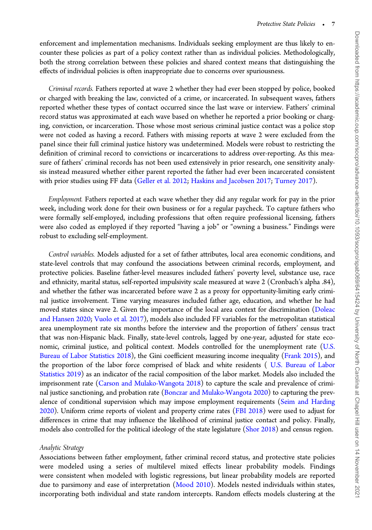enforcement and implementation mechanisms. Individuals seeking employment are thus likely to encounter these policies as part of a policy context rather than as individual policies. Methodologically, both the strong correlation between these policies and shared context means that distinguishing the effects of individual policies is often inappropriate due to concerns over spuriousness.

Criminal records. Fathers reported at wave 2 whether they had ever been stopped by police, booked or charged with breaking the law, convicted of a crime, or incarcerated. In subsequent waves, fathers reported whether these types of contact occurred since the last wave or interview. Fathers' criminal record status was approximated at each wave based on whether he reported a prior booking or charging, conviction, or incarceration. Those whose most serious criminal justice contact was a police stop were not coded as having a record. Fathers with missing reports at wave 2 were excluded from the panel since their full criminal justice history was undetermined. Models were robust to restricting the definition of criminal record to convictions or incarcerations to address over-reporting. As this measure of fathers' criminal records has not been used extensively in prior research, one sensitivity analysis instead measured whether either parent reported the father had ever been incarcerated consistent with prior studies using FF data (Geller et al. 2012; Haskins and Jacobsen 2017; Turney 2017).

Employment. Fathers reported at each wave whether they did any regular work for pay in the prior week, including work done for their own business or for a regular paycheck. To capture fathers who were formally self-employed, including professions that often require professional licensing, fathers were also coded as employed if they reported "having a job" or "owning a business." Findings were robust to excluding self-employment.

Control variables. Models adjusted for a set of father attributes, local area economic conditions, and state-level controls that may confound the associations between criminal records, employment, and protective policies. Baseline father-level measures included fathers' poverty level, substance use, race and ethnicity, marital status, self-reported impulsivity scale measured at wave 2 (Cronbach's alpha .84), and whether the father was incarcerated before wave 2 as a proxy for opportunity-limiting early criminal justice involvement. Time varying measures included father age, education, and whether he had moved states since wave 2. Given the importance of the local area context for discrimination (Doleac and Hansen 2020; Vuolo et al. 2017), models also included FF variables for the metropolitan statistical area unemployment rate six months before the interview and the proportion of fathers' census tract that was non-Hispanic black. Finally, state-level controls, lagged by one-year, adjusted for state economic, criminal justice, and political context. Models controlled for the unemployment rate (U.S. Bureau of Labor Statistics 2018), the Gini coefficient measuring income inequality (Frank 2015), and the proportion of the labor force comprised of black and white residents ( U.S. Bureau of Labor Statistics 2019) as an indicator of the racial composition of the labor market. Models also included the imprisonment rate (Carson and Mulako-Wangota 2018) to capture the scale and prevalence of criminal justice sanctioning, and probation rate (Bonczar and Mulako-Wangota 2020) to capturing the prevalence of conditional supervision which may impose employment requirements (Seim and Harding 2020). Uniform crime reports of violent and property crime rates (FBI 2018) were used to adjust for differences in crime that may influence the likelihood of criminal justice contact and policy. Finally, models also controlled for the political ideology of the state legislature (Shor 2018) and census region.

## Analytic Strategy

Associations between father employment, father criminal record status, and protective state policies were modeled using a series of multilevel mixed effects linear probability models. Findings were consistent when modeled with logistic regressions, but linear probability models are reported due to parsimony and ease of interpretation (Mood 2010). Models nested individuals within states, incorporating both individual and state random intercepts. Random effects models clustering at the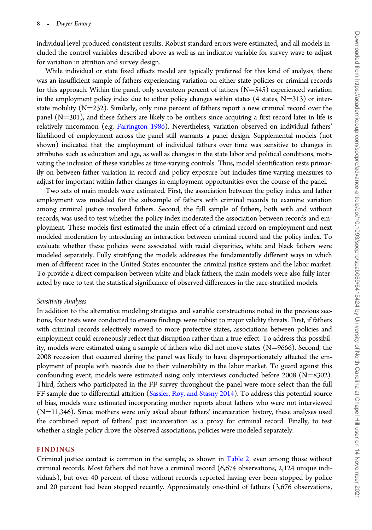individual level produced consistent results. Robust standard errors were estimated, and all models included the control variables described above as well as an indicator variable for survey wave to adjust for variation in attrition and survey design.

While individual or state fixed effects model are typically preferred for this kind of analysis, there was an insufficient sample of fathers experiencing variation on either state policies or criminal records for this approach. Within the panel, only seventeen percent of fathers  $(N=545)$  experienced variation in the employment policy index due to either policy changes within states  $(4 \text{ states}, N=313)$  or interstate mobility  $(N=232)$ . Similarly, only nine percent of fathers report a new criminal record over the panel  $(N=301)$ , and these fathers are likely to be outliers since acquiring a first record later in life is relatively uncommon (e.g. Farrington 1986). Nevertheless, variation observed on individual fathers' likelihood of employment across the panel still warrants a panel design. Supplemental models (not shown) indicated that the employment of individual fathers over time was sensitive to changes in attributes such as education and age, as well as changes in the state labor and political conditions, motivating the inclusion of these variables as time-varying controls. Thus, model identification rests primarily on between-father variation in record and policy exposure but includes time-varying measures to adjust for important within-father changes in employment opportunities over the course of the panel.

Two sets of main models were estimated. First, the association between the policy index and father employment was modeled for the subsample of fathers with criminal records to examine variation among criminal justice involved fathers. Second, the full sample of fathers, both with and without records, was used to test whether the policy index moderated the association between records and employment. These models first estimated the main effect of a criminal record on employment and next modeled moderation by introducing an interaction between criminal record and the policy index. To evaluate whether these policies were associated with racial disparities, white and black fathers were modeled separately. Fully stratifying the models addresses the fundamentally different ways in which men of different races in the United States encounter the criminal justice system and the labor market. To provide a direct comparison between white and black fathers, the main models were also fully interacted by race to test the statistical significance of observed differences in the race-stratified models.

## Sensitivity Analyses

In addition to the alternative modeling strategies and variable constructions noted in the previous sections, four tests were conducted to ensure findings were robust to major validity threats. First, if fathers with criminal records selectively moved to more protective states, associations between policies and employment could erroneously reflect that disruption rather than a true effect. To address this possibility, models were estimated using a sample of fathers who did not move states  $(N=9666)$ . Second, the 2008 recession that occurred during the panel was likely to have disproportionately affected the employment of people with records due to their vulnerability in the labor market. To guard against this confounding event, models were estimated using only interviews conducted before 2008 ( $N=8302$ ). Third, fathers who participated in the FF survey throughout the panel were more select than the full FF sample due to differential attrition (Sassler, Roy, and Stasny 2014). To address this potential source of bias, models were estimated incorporating mother reports about fathers who were not interviewed  $(N=11,346)$ . Since mothers were only asked about fathers' incarceration history, these analyses used the combined report of fathers' past incarceration as a proxy for criminal record. Finally, to test whether a single policy drove the observed associations, policies were modeled separately.

## FINDINGS

Criminal justice contact is common in the sample, as shown in Table 2, even among those without criminal records. Most fathers did not have a criminal record (6,674 observations, 2,124 unique individuals), but over 40 percent of those without records reported having ever been stopped by police and 20 percent had been stopped recently. Approximately one-third of fathers (3,676 observations,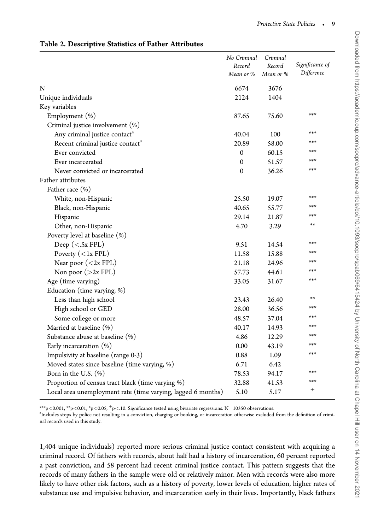|                                                              | No Criminal  | Criminal  |                 |
|--------------------------------------------------------------|--------------|-----------|-----------------|
|                                                              | Record       | Record    | Significance of |
|                                                              | Mean or %    | Mean or % | Difference      |
| N                                                            | 6674         | 3676      |                 |
| Unique individuals                                           | 2124         | 1404      |                 |
| Key variables                                                |              |           |                 |
| Employment (%)                                               | 87.65        | 75.60     | ***             |
| Criminal justice involvement (%)                             |              |           |                 |
| Any criminal justice contact <sup>a</sup>                    | 40.04        | 100       | ***             |
| Recent criminal justice contact <sup>a</sup>                 | 20.89        | 58.00     | ***             |
| Ever convicted                                               | $\Omega$     | 60.15     | ***             |
| Ever incarcerated                                            | $\mathbf{0}$ | 51.57     | ***             |
| Never convicted or incarcerated                              | $\Omega$     | 36.26     | ***             |
| Father attributes                                            |              |           |                 |
| Father race (%)                                              |              |           |                 |
| White, non-Hispanic                                          | 25.50        | 19.07     | ***             |
| Black, non-Hispanic                                          | 40.65        | 55.77     | ***             |
| Hispanic                                                     | 29.14        | 21.87     | ***             |
| Other, non-Hispanic                                          | 4.70         | 3.29      | $**$            |
| Poverty level at baseline (%)                                |              |           |                 |
| Deep ( $\langle$ - Sx FPL)                                   | 9.51         | 14.54     | ***             |
| Poverty $(1x FPL)$                                           | 11.58        | 15.88     | ***             |
| Near poor $(2x FPL)$                                         | 21.18        | 24.96     | ***             |
| Non poor $(>2x$ FPL)                                         | 57.73        | 44.61     | ***             |
| Age (time varying)                                           | 33.05        | 31.67     | ***             |
| Education (time varying, %)                                  |              |           |                 |
| Less than high school                                        | 23.43        | 26.40     | **              |
| High school or GED                                           | 28.00        | 36.56     | ***             |
| Some college or more                                         | 48.57        | 37.04     | ***             |
| Married at baseline (%)                                      | 40.17        | 14.93     | ***             |
| Substance abuse at baseline (%)                              | 4.86         | 12.29     | ***             |
| Early incarceration $(\%)$                                   | 0.00         | 43.19     | ***             |
| Impulsivity at baseline (range 0-3)                          | 0.88         | 1.09      | ***             |
| Moved states since baseline (time varying, %)                | 6.71         | 6.42      |                 |
| Born in the U.S. $(\%)$                                      | 78.53        | 94.17     | ***             |
| Proportion of census tract black (time varying %)            | 32.88        | 41.53     | ***             |
| Local area unemployment rate (time varying, lagged 6 months) | 5.10         | 5.17      | $+$             |

Table 2. Descriptive Statistics of Father Attributes

\*\*\*p<0.001, \*\*p<0.01, \*p<0.05,  $^+$ p<.10. Significance tested using bivariate regressions. N=10350 observations.

a Includes stops by police not resulting in a conviction, charging or booking, or incarceration otherwise excluded from the definition of criminal records used in this study.

1,404 unique individuals) reported more serious criminal justice contact consistent with acquiring a criminal record. Of fathers with records, about half had a history of incarceration, 60 percent reported a past conviction, and 58 percent had recent criminal justice contact. This pattern suggests that the records of many fathers in the sample were old or relatively minor. Men with records were also more likely to have other risk factors, such as a history of poverty, lower levels of education, higher rates of substance use and impulsive behavior, and incarceration early in their lives. Importantly, black fathers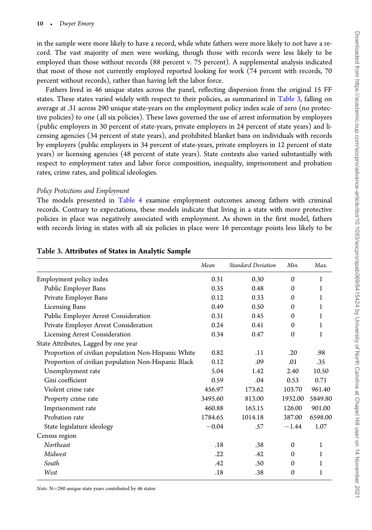in the sample were more likely to have a record, while white fathers were more likely to not have a record. The vast majority of men were working, though those with records were less likely to be employed than those without records (88 percent v. 75 percent). A supplemental analysis indicated that most of those not currently employed reported looking for work (74 percent with records, 70 percent without records), rather than having left the labor force.

Fathers lived in 46 unique states across the panel, reflecting dispersion from the original 15 FF states. These states varied widely with respect to their policies, as summarized in Table 3, falling on average at .31 across 290 unique state-years on the employment policy index scale of zero (no protective policies) to one (all six policies). These laws governed the use of arrest information by employers (public employers in 30 percent of state-years, private employers in 24 percent of state years) and licensing agencies (34 percent of state years), and prohibited blanket bans on individuals with records by employers (public employers in 34 percent of state-years, private employers in 12 percent of state years) or licensing agencies (48 percent of state years). State contexts also varied substantially with respect to employment rates and labor force composition, inequality, imprisonment and probation rates, crime rates, and political ideologies.

## Policy Protections and Employment

The models presented in Table 4 examine employment outcomes among fathers with criminal records. Contrary to expectations, these models indicate that living in a state with more protective policies in place was negatively associated with employment. As shown in the first model, fathers with records living in states with all six policies in place were 16 percentage points less likely to be

|                                                      | Mean    | <b>Standard Deviation</b> | Min.         | Max.    |
|------------------------------------------------------|---------|---------------------------|--------------|---------|
| Employment policy index                              | 0.31    | 0.30                      | $\mathbf{0}$ | 1       |
| Public Employer Bans                                 | 0.35    | 0.48                      | $\mathbf{0}$ | 1       |
| Private Employer Bans                                | 0.12    | 0.33                      | $\mathbf{0}$ | 1       |
| <b>Licensing Bans</b>                                | 0.49    | 0.50                      | $\mathbf{0}$ | 1       |
| Public Employer Arrest Consideration                 | 0.31    | 0.45                      | $\mathbf{0}$ | 1       |
| Private Employer Arrest Consideration                | 0.24    | 0.41                      | $\mathbf{0}$ | 1       |
| <b>Licensing Arrest Consideration</b>                | 0.34    | 0.47                      | $\mathbf{0}$ | 1       |
| State Attributes, Lagged by one year                 |         |                           |              |         |
| Proportion of civilian population Non-Hispanic White | 0.82    | .11                       | .20          | .98     |
| Proportion of civilian population Non-Hispanic Black | 0.12    | .09                       | .01          | .35     |
| Unemployment rate                                    | 5.04    | 1.42                      | 2.40         | 10.50   |
| Gini coefficient                                     | 0.59    | .04                       | 0.53         | 0.71    |
| Violent crime rate                                   | 456.97  | 173.62                    | 103.70       | 961.40  |
| Property crime rate                                  | 3495.60 | 813.00                    | 1932.00      | 5849.80 |
| Imprisonment rate                                    | 460.88  | 163.15                    | 126.00       | 901.00  |
| Probation rate                                       | 1784.65 | 1014.18                   | 387.00       | 6598.00 |
| State legislature ideology                           | $-0.04$ | .57                       | $-1.44$      | 1.07    |
| Census region                                        |         |                           |              |         |
| Northeast                                            | .18     | .38                       | $\mathbf{0}$ | 1       |
| Midwest                                              | .22     | .42                       | $\mathbf{0}$ | 1       |
| South                                                | .42     | .50                       | $\mathbf{0}$ | 1       |
| West                                                 | .18     | .38                       | $\mathbf{0}$ | 1       |
|                                                      |         |                           |              |         |

## Table 3. Attributes of States in Analytic Sample

Note: N=290 unique state years contributed by 46 states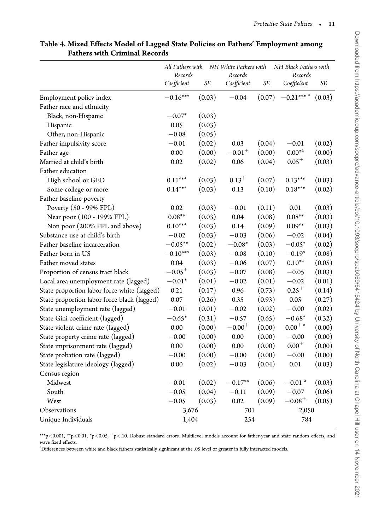|                                             | All Fathers with<br>Records |        | NH White Fathers with<br>Records |        | NH Black Fathers with<br>Records |        |
|---------------------------------------------|-----------------------------|--------|----------------------------------|--------|----------------------------------|--------|
|                                             | Coefficient                 | SЕ     | Coefficient                      | SE     | Coefficient                      | SE     |
| Employment policy index                     | $-0.16***$                  | (0.03) | $-0.04$                          | (0.07) | $-0.21***$ <sup>a</sup>          | (0.03) |
| Father race and ethnicity                   |                             |        |                                  |        |                                  |        |
| Black, non-Hispanic                         | $-0.07*$                    | (0.03) |                                  |        |                                  |        |
| Hispanic                                    | 0.05                        | (0.03) |                                  |        |                                  |        |
| Other, non-Hispanic                         | $-0.08$                     | (0.05) |                                  |        |                                  |        |
| Father impulsivity score                    | $-0.01$                     | (0.02) | 0.03                             | (0.04) | $-0.01$                          | (0.02) |
| Father age                                  | 0.00                        | (0.00) | $-0.01^{+}$                      | (0.00) | $0.00^{*a}$                      | (0.00) |
| Married at child's birth                    | 0.02                        | (0.02) | 0.06                             | (0.04) | $0.05^{+}$                       | (0.03) |
| Father education                            |                             |        |                                  |        |                                  |        |
| High school or GED                          | $0.11***$                   | (0.03) | $0.13^{+}$                       | (0.07) | $0.13***$                        | (0.03) |
| Some college or more                        | $0.14***$                   | (0.03) | 0.13                             | (0.10) | $0.18***$                        | (0.02) |
| Father baseline poverty                     |                             |        |                                  |        |                                  |        |
| Poverty (50 - 99% FPL)                      | 0.02                        | (0.03) | $-0.01$                          | (0.11) | 0.01                             | (0.03) |
| Near poor (100 - 199% FPL)                  | $0.08**$                    | (0.03) | 0.04                             | (0.08) | $0.08**$                         | (0.03) |
| Non poor (200% FPL and above)               | $0.10***$                   | (0.03) | 0.14                             | (0.09) | $0.09**$                         | (0.03) |
| Substance use at child's birth              | $-0.02$                     | (0.03) | $-0.03$                          | (0.06) | $-0.02$                          | (0.04) |
| Father baseline incarceration               | $-0.05**$                   | (0.02) | $-0.08*$                         | (0.03) | $-0.05*$                         | (0.02) |
| Father born in US                           | $-0.10***$                  | (0.03) | $-0.08$                          | (0.10) | $-0.19*$                         | (0.08) |
| Father moved states                         | 0.04                        | (0.03) | $-0.06$                          | (0.07) | $0.10^{*a}$                      | (0.05) |
| Proportion of census tract black            | $-0.05^{+}$                 | (0.03) | $-0.07$                          | (0.08) | $-0.05$                          | (0.03) |
| Local area unemployment rate (lagged)       | $-0.01*$                    | (0.01) | $-0.02$                          | (0.01) | $-0.02$                          | (0.01) |
| State proportion labor force white (lagged) | 0.21                        | (0.17) | 0.96                             | (0.73) | $0.25^{+}$                       | (0.14) |
| State proportion labor force black (lagged) | 0.07                        | (0.26) | 0.35                             | (0.93) | 0.05                             | (0.27) |
| State unemployment rate (lagged)            | $-0.01$                     | (0.01) | $-0.02$                          | (0.02) | $-0.00$                          | (0.02) |
| State Gini coefficient (lagged)             | $-0.65*$                    | (0.31) | $-0.57$                          | (0.65) | $-0.68*$                         | (0.32) |
| State violent crime rate (lagged)           | 0.00                        | (0.00) | $-0.00^{+}$                      | (0.00) | $0.00^{+}$ a                     | (0.00) |
| State property crime rate (lagged)          | $-0.00$                     | (0.00) | 0.00                             | (0.00) | $-0.00$                          | (0.00) |
| State imprisonment rate (lagged)            | 0.00                        | (0.00) | 0.00                             | (0.00) | $0.00^{+}$                       | (0.00) |
| State probation rate (lagged)               | $-0.00$                     | (0.00) | $-0.00$                          | (0.00) | $-0.00$                          | (0.00) |
| State legislature ideology (lagged)         | 0.00                        | (0.02) | $-0.03$                          | (0.04) | 0.01                             | (0.03) |
| Census region                               |                             |        |                                  |        |                                  |        |
| Midwest                                     | $-0.01$                     | (0.02) | $-0.17**$                        | (0.06) | $-0.01$ <sup>a</sup>             | (0.03) |
| South                                       | $-0.05$                     | (0.04) | $-0.11$                          | (0.09) | $-0.07$                          | (0.06) |
| West                                        | $-0.05$                     | (0.03) | 0.02                             | (0.09) | $-0.08^{+}$                      | (0.05) |
| <b>Observations</b>                         | 3,676                       |        | 701                              |        | 2,050                            |        |
| Unique Individuals                          | 1,404                       |        | 254                              |        | 784                              |        |

## Table 4. Mixed Effects Model of Lagged State Policies on Fathers' Employment among Fathers with Criminal Records

\*\*\*p<0.001, \*\*p<0.01, \*p<0.05,  $^+$ p<.10. Robust standard errors. Multilevel models account for father-year and state random effects, and wave fixed effects.

<sup>a</sup>Differences between white and black fathers statistically significant at the .05 level or greater in fully interacted models.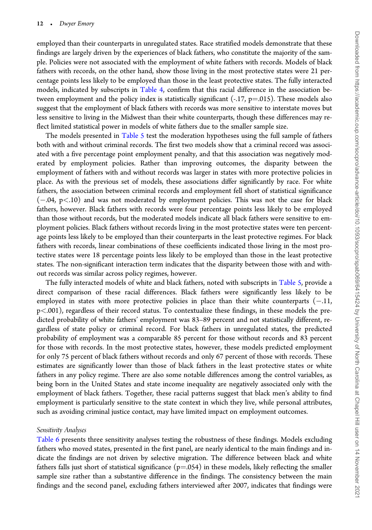employed than their counterparts in unregulated states. Race stratified models demonstrate that these findings are largely driven by the experiences of black fathers, who constitute the majority of the sample. Policies were not associated with the employment of white fathers with records. Models of black fathers with records, on the other hand, show those living in the most protective states were 21 percentage points less likely to be employed than those in the least protective states. The fully interacted models, indicated by subscripts in Table 4, confirm that this racial difference in the association between employment and the policy index is statistically significant  $(-.17, p=0.015)$ . These models also suggest that the employment of black fathers with records was more sensitive to interstate moves but less sensitive to living in the Midwest than their white counterparts, though these differences may reflect limited statistical power in models of white fathers due to the smaller sample size.

The models presented in Table 5 test the moderation hypotheses using the full sample of fathers both with and without criminal records. The first two models show that a criminal record was associated with a five percentage point employment penalty, and that this association was negatively moderated by employment policies. Rather than improving outcomes, the disparity between the employment of fathers with and without records was larger in states with more protective policies in place. As with the previous set of models, these associations differ significantly by race. For white fathers, the association between criminal records and employment fell short of statistical significance  $(-.04, p<.10)$  and was not moderated by employment policies. This was not the case for black fathers, however. Black fathers with records were four percentage points less likely to be employed than those without records, but the moderated models indicate all black fathers were sensitive to employment policies. Black fathers without records living in the most protective states were ten percentage points less likely to be employed than their counterparts in the least protective regimes. For black fathers with records, linear combinations of these coefficients indicated those living in the most protective states were 18 percentage points less likely to be employed than those in the least protective states. The non-significant interaction term indicates that the disparity between those with and without records was similar across policy regimes, however.

The fully interacted models of white and black fathers, noted with subscripts in Table 5, provide a direct comparison of these racial differences. Black fathers were significantly less likely to be employed in states with more protective policies in place than their white counterparts  $(-.11, 1)$ p<.001), regardless of their record status. To contextualize these findings, in these models the predicted probability of white fathers' employment was 83–89 percent and not statistically different, regardless of state policy or criminal record. For black fathers in unregulated states, the predicted probability of employment was a comparable 85 percent for those without records and 83 percent for those with records. In the most protective states, however, these models predicted employment for only 75 percent of black fathers without records and only 67 percent of those with records. These estimates are significantly lower than those of black fathers in the least protective states or white fathers in any policy regime. There are also some notable differences among the control variables, as being born in the United States and state income inequality are negatively associated only with the employment of black fathers. Together, these racial patterns suggest that black men's ability to find employment is particularly sensitive to the state context in which they live, while personal attributes, such as avoiding criminal justice contact, may have limited impact on employment outcomes.

#### Sensitivity Analyses

Table 6 presents three sensitivity analyses testing the robustness of these findings. Models excluding fathers who moved states, presented in the first panel, are nearly identical to the main findings and indicate the findings are not driven by selective migration. The difference between black and white fathers falls just short of statistical significance ( $p=0.054$ ) in these models, likely reflecting the smaller sample size rather than a substantive difference in the findings. The consistency between the main findings and the second panel, excluding fathers interviewed after 2007, indicates that findings were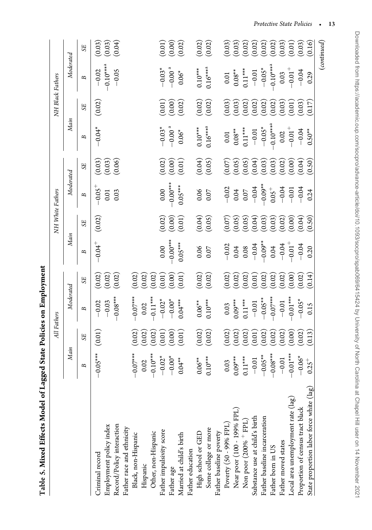| Tanic ? when meen when a magge           |                    |                                    | ane I annun inn sainn am a |                                             |                      |                                  |                      |                                                         |                                                  |                                                                                  |                                  |                                                    |
|------------------------------------------|--------------------|------------------------------------|----------------------------|---------------------------------------------|----------------------|----------------------------------|----------------------|---------------------------------------------------------|--------------------------------------------------|----------------------------------------------------------------------------------|----------------------------------|----------------------------------------------------|
|                                          |                    | All Fathers                        |                            |                                             |                      | NH White Fathers                 |                      |                                                         |                                                  | NH Black Fathers                                                                 |                                  |                                                    |
|                                          | Main               |                                    | Moderated                  |                                             | Main                 |                                  | Moderated            |                                                         | Main                                             |                                                                                  | Moderated                        |                                                    |
|                                          | В                  | ${\rm S}$                          | B                          | 55                                          | B                    | S <sub>E</sub>                   | В                    | S E                                                     | B                                                | S <sub>E</sub>                                                                   | В                                | SE <sub>1</sub>                                    |
| Criminal record                          | $-0.05***$         | (0.01)                             | $-0.02$                    |                                             | $-0.04$ <sup>+</sup> | (0.02)                           | $-0.05$ <sup>+</sup> |                                                         | $-0.04*$                                         | (0.02)                                                                           |                                  |                                                    |
| Employment policy index                  |                    |                                    | $-0.03$                    | $\begin{pmatrix} 0.02 \ 0.02 \end{pmatrix}$ |                      |                                  | 0.01                 | $\begin{array}{c} (0.03) \ (0.03) \ (0.06) \end{array}$ |                                                  |                                                                                  | $-0.02$<br>$-0.10***^{\text{a}}$ | $\begin{pmatrix} 0.03 \ 0.03 \end{pmatrix}$        |
| Record/Policy interaction                |                    |                                    | $-0.08***$                 | (0.02)                                      |                      |                                  | 0.03                 |                                                         |                                                  |                                                                                  | $-0.05$                          | (0.04)                                             |
| Father race and ethnicity                |                    |                                    |                            |                                             |                      |                                  |                      |                                                         |                                                  |                                                                                  |                                  |                                                    |
| Black, non-Hispanic                      | $-0.07***$         | (0.02)                             | $-0.07***$                 | (0.02)                                      |                      |                                  |                      |                                                         |                                                  |                                                                                  |                                  |                                                    |
| Hispanic                                 | $0.02$<br>-0.10*** | (0.02)                             |                            | (0.02)                                      |                      |                                  |                      |                                                         |                                                  |                                                                                  |                                  |                                                    |
| Other, non-Hispanic                      |                    | (0.02)                             | $0.02$<br>-0.11***         | (0.02)                                      |                      |                                  |                      |                                                         |                                                  |                                                                                  |                                  |                                                    |
| Father impulsivity score                 | $-0.02*$           | $\left(0.01\right)$                |                            | (0.01)                                      |                      |                                  | $0.00$<br>$-0.00***$ |                                                         |                                                  |                                                                                  |                                  |                                                    |
| Father age                               | $-0.00*$           | (0.00)                             | $-0.02$ <sup>*</sup>       | (0.00)                                      | $0.00$<br>$-0.00***$ |                                  |                      |                                                         | $-0.03$ <sup>*</sup>                             |                                                                                  | $-0.03$ <sup>*</sup>             | (0.01)                                             |
| Married at child's birth                 | $0.04**$           | (0.01)                             | $0.04***$                  | (0.01)                                      | $0.05***$            | $(0.02)$<br>$(0.00)$<br>$(0.01)$ | $0.05***$            | $\begin{pmatrix} 0.02 \ 0.00 \end{pmatrix}$             | $0.06*$                                          | $\begin{pmatrix} 0.01 \ 0.00 \end{pmatrix}$                                      | $0.06*$                          | (0.02)                                             |
| Father education                         |                    |                                    |                            |                                             |                      |                                  |                      |                                                         |                                                  |                                                                                  |                                  |                                                    |
| High school or GED                       | $0.06***$          | (0.02)                             | $0.06***$                  |                                             | $0.06$<br>0.07       |                                  |                      |                                                         | $0.10***$                                        |                                                                                  | $0.10***$                        | (0.02)                                             |
| Some college or more                     | $0.10***$          | (0.02)                             | $0.10***$                  | (0.02)                                      |                      | (600)                            | $0.06$<br>0.07       | (0.04)                                                  | $0.16***2$                                       | (0.02)                                                                           | $0.16***2$                       | (0.02)                                             |
| Father baseline poverty                  |                    |                                    |                            |                                             |                      |                                  |                      |                                                         |                                                  |                                                                                  |                                  |                                                    |
| Poverty (50 - 99% FPL)                   | 0.03               | (0.02)                             |                            |                                             | $-0.02$              |                                  | $-0.02$              |                                                         |                                                  |                                                                                  |                                  |                                                    |
| Near poor (100 - 199% FPL)               | $0.09***$          | (0.02)                             | $0.03$<br>0.09***          | (0.02)                                      | $0.04$<br>$-0.06$    | $(500)$<br>(0.05)<br>(500)       | 0.07                 | $(0.05)$<br>$(0.05)$<br>$(0.05)$                        | $\begin{array}{c} 0.01 \\ 0.08^{**} \end{array}$ |                                                                                  | $0.01$<br>$0.08**$               |                                                    |
| Non poor (200% <sup>+</sup> FPL)         | $0.11***$          | (0.02)                             | $0.11***$                  | (0.02)                                      |                      |                                  |                      |                                                         | $0.11***$                                        |                                                                                  | $0.11***$                        |                                                    |
| Substance use at child's birth           | $-0.01$            | $\left(0.01\right)$                | $-0.01$                    | (0.01)                                      |                      |                                  | $-0.04$              |                                                         | $-0.01$                                          |                                                                                  | $-0.01$                          | $\begin{pmatrix} 0.03 \ 0.03 \ 0.02 \end{pmatrix}$ |
| Father baseline incarceration            | $-0.05***$         | $\left( \frac{0.02}{0.02} \right)$ | $-0.05***$                 | (0.02)                                      | $-0.09***$           |                                  | $-0.09***$           |                                                         | $-0.05*$                                         |                                                                                  | $-0.05*$                         | (0.02)                                             |
| Father born in US                        | $-0.08***$         | (0.02)                             | $-0.07***$                 | (0.02)                                      | 0.04                 | (0.03)                           | $0.05^{+}$           | $(0.03)$<br>$(0.02)$<br>$(0.00)$<br>$(0.04)$            | $-0.10***24$                                     | $(0.03)$<br>$(0.02)$<br>$(0.02)$<br>$(0.02)$<br>$(0.03)$<br>$(0.03)$<br>$(0.03)$ | $-0.10***4$                      | $(0.02)$<br>$(0.03)$<br>$(0.01)$                   |
| Father moved states                      | $-0.01$            | $\left(0.02\right)$                | $-0.01$                    | (0.02)                                      | $-0.04$              |                                  | $-0.04$              |                                                         | $0.02\,$                                         |                                                                                  | 0.03                             |                                                    |
| Local area unemployment rate (lag)       | $-0.01***$         | (0.00)                             | $-0.01***$                 | (0.00)                                      | $-0.01$ <sup>+</sup> | $(0.02)$<br>$(0.00)$             | $-0.01$<br>$-0.04$   |                                                         | $-0.01^{+}$                                      |                                                                                  | $-0.01^{+}$                      |                                                    |
| Proportion of census tract black         | $-0.06*$           | (0.02)                             | $-0.05*$                   | (0.02)                                      | $-0.04$              |                                  |                      |                                                         | $-0.04$                                          |                                                                                  | $-0.04$                          | (0.03)                                             |
| State proportion labor force white (lag) |                    | (0.13)                             | 0.15                       | (0.14)                                      | 0.20                 | (0.50)                           | 0.24                 | (0.50)                                                  | $0.50***$                                        | (0.17)                                                                           | 0.29                             | (916)                                              |
|                                          |                    |                                    |                            |                                             |                      |                                  |                      |                                                         |                                                  |                                                                                  |                                  | $\left(\text{continued}\right)$                    |

Table 5. Mixed Effects Model of Lagged State Policies on Employment Table 5. Mixed Effects Model of Lagged State Policies on Employment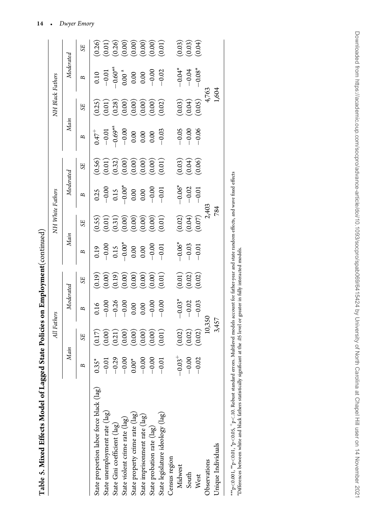| ï                   |  |
|---------------------|--|
| l<br>J              |  |
| ĺ                   |  |
| l<br>᠈<br>ו<br>י    |  |
|                     |  |
| i<br>I              |  |
| $\overline{1}$<br>Í |  |

|                                          |                                                                              | All Fathers                                                                      |                                                               |                                                                                              |                                                                           | NH White Fathers                                                                 |                                                                                           |                                                                                  |                                                                          | NH Black Fathers                                                                 |                                                                                                                   |                                                                                     |
|------------------------------------------|------------------------------------------------------------------------------|----------------------------------------------------------------------------------|---------------------------------------------------------------|----------------------------------------------------------------------------------------------|---------------------------------------------------------------------------|----------------------------------------------------------------------------------|-------------------------------------------------------------------------------------------|----------------------------------------------------------------------------------|--------------------------------------------------------------------------|----------------------------------------------------------------------------------|-------------------------------------------------------------------------------------------------------------------|-------------------------------------------------------------------------------------|
|                                          | Main                                                                         |                                                                                  | Moderated                                                     |                                                                                              | Main                                                                      |                                                                                  | Moderated                                                                                 |                                                                                  | Main                                                                     |                                                                                  | Moderated                                                                                                         |                                                                                     |
|                                          |                                                                              | SE <sub>1</sub>                                                                  | B                                                             | SE <sub>1</sub>                                                                              | B                                                                         | SE <sub>1</sub>                                                                  | B                                                                                         | <b>SE</b>                                                                        | В                                                                        | SE                                                                               | B                                                                                                                 | <b>SE</b>                                                                           |
| State proportion labor force black (lag) |                                                                              |                                                                                  |                                                               |                                                                                              |                                                                           |                                                                                  |                                                                                           |                                                                                  |                                                                          |                                                                                  |                                                                                                                   |                                                                                     |
| State unemployment rate (lag)            |                                                                              |                                                                                  |                                                               |                                                                                              |                                                                           |                                                                                  |                                                                                           |                                                                                  |                                                                          |                                                                                  |                                                                                                                   |                                                                                     |
| State Gini coefficient (lag)             |                                                                              |                                                                                  |                                                               |                                                                                              |                                                                           |                                                                                  |                                                                                           |                                                                                  |                                                                          |                                                                                  |                                                                                                                   |                                                                                     |
| State violent crime rate (lag)           | $0.35$ *<br>$-0.01$<br>$-0.29$<br>$-0.00$ *<br>$-0.00$<br>$-0.00$<br>$-0.01$ |                                                                                  |                                                               |                                                                                              |                                                                           |                                                                                  |                                                                                           |                                                                                  |                                                                          |                                                                                  |                                                                                                                   |                                                                                     |
| State property crime rate (lag)          |                                                                              |                                                                                  |                                                               |                                                                                              |                                                                           |                                                                                  |                                                                                           |                                                                                  |                                                                          |                                                                                  |                                                                                                                   |                                                                                     |
| State imprisonment rate (lag)            |                                                                              |                                                                                  |                                                               |                                                                                              |                                                                           |                                                                                  |                                                                                           |                                                                                  |                                                                          |                                                                                  |                                                                                                                   |                                                                                     |
| State probation rate (lag)               |                                                                              |                                                                                  |                                                               |                                                                                              |                                                                           |                                                                                  |                                                                                           |                                                                                  |                                                                          |                                                                                  |                                                                                                                   |                                                                                     |
| State legislature ideology (lag)         |                                                                              | $(0.17)$<br>$(0.00)$<br>$(0.21)$<br>$(0.00)$<br>$(0.00)$<br>$(0.00)$<br>$(0.01)$ | 0.16<br>$-0.00$<br>$-0.26$<br>$-0.00$<br>0.00<br>0.00<br>0.00 | $(0.19)$<br>$(0.00)$<br>$(0.00)$<br>$(0.00)$<br>$(0.00)$<br>$(0.00)$                         | $-0.19$<br>$-0.00$<br>$-0.15$<br>$-0.00$<br>$-0.00$<br>$-0.00$<br>$-0.00$ | $(0.55)$<br>$(0.01)$<br>$(0.00)$<br>$(0.00)$<br>$(0.00)$<br>$(0.00)$<br>$(0.01)$ | $\begin{array}{c} 0.25 \\ -0.00 \\ 0.15 \\ 0.00 \\ 0.00 \\ -0.00 \\ -0.01 \\ \end{array}$ | $(0.56)$<br>$(0.01)$<br>$(0.32)$<br>$(0.00)$<br>$(0.00)$<br>$(0.00)$<br>$(0.01)$ | $0.47^{+}$<br>$-0.01$<br>$-0.69^{*4}$<br>$-0.00$<br>0.00<br>0.00<br>0.00 | $(0.25)$<br>$(0.01)$<br>$(0.28)$<br>$(0.00)$<br>$(0.00)$<br>$(0.00)$<br>$(0.02)$ | $\begin{array}{r} 0.10 \\ -0.01 \\ -0.60^{*4} \\ 0.00 \\ 0.00 \\ -0.00 \\ -0.00 \\ -0.00 \\ -0.02 \\ \end{array}$ | $(0.26)$<br>$(0.01)$<br>$(0.00)$<br>$(0.00)$<br>$(0.00)$<br>$(0.00)$<br>$(0.00)$    |
| Census region                            |                                                                              |                                                                                  |                                                               |                                                                                              |                                                                           |                                                                                  |                                                                                           |                                                                                  |                                                                          |                                                                                  |                                                                                                                   |                                                                                     |
| Midwest                                  |                                                                              |                                                                                  |                                                               |                                                                                              |                                                                           |                                                                                  |                                                                                           |                                                                                  |                                                                          |                                                                                  |                                                                                                                   |                                                                                     |
| South                                    | $-0.03$ <sup>+</sup><br>-0.00<br>-0.02                                       | $(0.02)$<br>$(0.02)$<br>$(0.02)$                                                 | $-0.03$ <sup>*</sup><br>-0.02<br>-0.03                        | $\begin{pmatrix} 0.01 \\ 0.02 \end{pmatrix}$<br>$\begin{pmatrix} 0.02 \\ 0.02 \end{pmatrix}$ | $-0.06*$<br>$-0.03$<br>$-0.01$                                            | $(0.02)$<br>$(0.04)$<br>$(0.07)$                                                 | $-0.06$ <sup>*</sup><br>-0.02<br>-0.01                                                    | $(0.03)$<br>$(0.04)$<br>$(0.06)$                                                 | $-0.05$<br>$-0.00$<br>$-0.06$                                            | $(0.03)$<br>$(0.04)$<br>$(0.05)$                                                 | $-0.04$<br>$-0.08$<br>$-$                                                                                         | $\begin{pmatrix} 0.03 \ 0.03 \end{pmatrix}$<br>$\begin{pmatrix} 0.04 \end{pmatrix}$ |
| West                                     |                                                                              |                                                                                  |                                                               |                                                                                              |                                                                           |                                                                                  |                                                                                           |                                                                                  |                                                                          |                                                                                  |                                                                                                                   |                                                                                     |
| Observations                             |                                                                              | 10,350                                                                           |                                                               |                                                                                              |                                                                           |                                                                                  |                                                                                           |                                                                                  |                                                                          |                                                                                  |                                                                                                                   |                                                                                     |
| Unique Individuals                       |                                                                              | 3,457                                                                            |                                                               |                                                                                              |                                                                           | 2,403<br>784                                                                     |                                                                                           |                                                                                  |                                                                          | 4,763<br>1,604                                                                   |                                                                                                                   |                                                                                     |
|                                          |                                                                              |                                                                                  |                                                               |                                                                                              |                                                                           |                                                                                  |                                                                                           |                                                                                  |                                                                          |                                                                                  |                                                                                                                   |                                                                                     |

<sup>\*\*\*</sup>p<0.001, \*\*p<0.01, \*p<0.05, †p<.10. Robust standard errors. Multilevel models account for father-pear and state random effects, and wave fixed effects<br>"Differences between white and black fathers statistically signific  $^{***p}_{p}<0.001$ ,  $^*p<0.05$ ,  $^+p<.10$ . Robust standard errors. Multilevel models account for father-year and state random effects, and wave fixed effects aDifferences between white and black fathers statistically significant at the .05 level or greater in fully interacted models.

14 -Dwyer Emory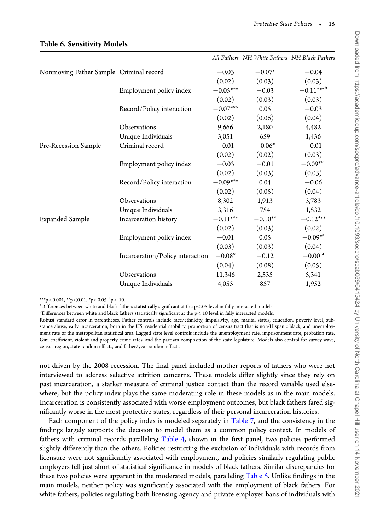|                                         |                                  |            | All Fathers NH White Fathers NH Black Fathers |                       |
|-----------------------------------------|----------------------------------|------------|-----------------------------------------------|-----------------------|
| Nonmoving Father Sample Criminal record |                                  | $-0.03$    | $-0.07*$                                      | $-0.04$               |
|                                         |                                  | (0.02)     | (0.03)                                        | (0.03)                |
|                                         | Employment policy index          | $-0.05***$ | $-0.03$                                       | $-0.11***^{\text{b}}$ |
|                                         |                                  | (0.02)     | (0.03)                                        | (0.03)                |
|                                         | Record/Policy interaction        | $-0.07***$ | 0.05                                          | $-0.03$               |
|                                         |                                  | (0.02)     | (0.06)                                        | (0.04)                |
|                                         | Observations                     | 9,666      | 2,180                                         | 4,482                 |
|                                         | Unique Individuals               | 3,051      | 659                                           | 1,436                 |
| Pre-Recession Sample                    | Criminal record                  | $-0.01$    | $-0.06*$                                      | $-0.01$               |
|                                         |                                  | (0.02)     | (0.02)                                        | (0.03)                |
|                                         | Employment policy index          | $-0.03$    | $-0.01$                                       | $-0.09***$            |
|                                         |                                  | (0.02)     | (0.03)                                        | (0.03)                |
|                                         | Record/Policy interaction        | $-0.09***$ | 0.04                                          | $-0.06$               |
|                                         |                                  | (0.02)     | (0.05)                                        | (0.04)                |
|                                         | Observations                     | 8,302      | 1,913                                         | 3,783                 |
|                                         | Unique Individuals               | 3,316      | 754                                           | 1,532                 |
| <b>Expanded Sample</b>                  | Incarceration history            | $-0.11***$ | $-0.10**$                                     | $-0.12***$            |
|                                         |                                  | (0.02)     | (0.03)                                        | (0.02)                |
|                                         | Employment policy index          | $-0.01$    | 0.05                                          | $-0.09^{*a}$          |
|                                         |                                  | (0.03)     | (0.03)                                        | (0.04)                |
|                                         | Incarceration/Policy interaction | $-0.08*$   | $-0.12$                                       | $-0.00$ <sup>a</sup>  |
|                                         |                                  | (0.04)     | (0.08)                                        | (0.05)                |
|                                         | Observations                     | 11,346     | 2,535                                         | 5,341                 |
|                                         | Unique Individuals               | 4,055      | 857                                           | 1,952                 |

## Table 6. Sensitivity Models

\*\*\*p<0.001, \*\*p<0.01, \*p<0.05,  $p$  +p < 10.

 $a<sup>a</sup>$ Differences between white and black fathers statistically significant at the p<.05 level in fully interacted models.

 $b$ Differences between white and black fathers statistically significant at the p<.10 level in fully interacted models.

Robust standard error in parentheses. Father controls include race/ethnicity, impulsivity, age, marital status, education, poverty level, substance abuse, early incarceration, born in the US, residential mobility, proportion of census tract that is non-Hispanic black, and unemployment rate of the metropolitan statistical area. Lagged state level controls include the unemployment rate, imprisonment rate, probation rate, Gini coefficient, violent and property crime rates, and the partisan composition of the state legislature. Models also control for survey wave, census region, state random effects, and father/year random effects.

not driven by the 2008 recession. The final panel included mother reports of fathers who were not interviewed to address selective attrition concerns. These models differ slightly since they rely on past incarceration, a starker measure of criminal justice contact than the record variable used elsewhere, but the policy index plays the same moderating role in these models as in the main models. Incarceration is consistently associated with worse employment outcomes, but black fathers fared significantly worse in the most protective states, regardless of their personal incarceration histories.

Each component of the policy index is modeled separately in Table 7, and the consistency in the findings largely supports the decision to model them as a common policy context. In models of fathers with criminal records paralleling Table 4, shown in the first panel, two policies performed slightly differently than the others. Policies restricting the exclusion of individuals with records from licensure were not significantly associated with employment, and policies similarly regulating public employers fell just short of statistical significance in models of black fathers. Similar discrepancies for these two policies were apparent in the moderated models, paralleling Table 5. Unlike findings in the main models, neither policy was significantly associated with the employment of black fathers. For white fathers, policies regulating both licensing agency and private employer bans of individuals with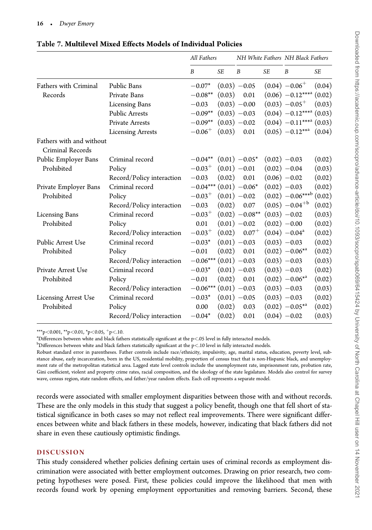|                                              |                           | All Fathers                |           |                             |           | NH White Fathers NH Black Fathers     |        |
|----------------------------------------------|---------------------------|----------------------------|-----------|-----------------------------|-----------|---------------------------------------|--------|
|                                              |                           | B                          | <b>SE</b> | $\boldsymbol{B}$            | <b>SE</b> | B                                     | SE     |
| <b>Fathers with Criminal</b>                 | Public Bans               | $-0.07*$                   |           | $(0.03) -0.05$              |           | $(0.04) -0.06^{+}$                    | (0.04) |
| Records                                      | Private Bans              | $-0.08**$                  | (0.03)    | 0.01                        |           | $(0.06)$ -0.12****                    | (0.02) |
|                                              | <b>Licensing Bans</b>     | $-0.03$                    |           | $(0.03) -0.00$              |           | $(0.03) -0.05^{+}$                    | (0.03) |
|                                              | <b>Public Arrests</b>     | $-0.09**$                  |           | $(0.03) -0.03$              |           | $(0.04)$ -0.12*** <sup>a</sup> (0.03) |        |
|                                              | <b>Private Arrests</b>    | $-0.09**$                  |           | $(0.03) -0.02$              |           | $(0.04)$ -0.11**** $(0.03)$           |        |
|                                              | <b>Licensing Arrests</b>  | $-0.06^{+}$                | (0.03)    | 0.01                        |           | $(0.05)$ -0.12***                     | (0.04) |
| Fathers with and without<br>Criminal Records |                           |                            |           |                             |           |                                       |        |
| Public Employer Bans                         | Criminal record           | $-0.04**$                  |           | $(0.01)$ -0.05 <sup>*</sup> |           | $(0.02) -0.03$                        | (0.02) |
| Prohibited                                   | Policy                    | $-0.03^{+}$                |           | $(0.01) -0.01$              |           | $(0.02) -0.04$                        | (0.03) |
|                                              | Record/Policy interaction | $-0.03$                    | (0.02)    | 0.01                        |           | $(0.06) -0.02$                        | (0.02) |
| Private Employer Bans                        | Criminal record           | $-0.04***$ (0.01) $-0.06*$ |           |                             |           | $(0.02) -0.03$                        | (0.02) |
| Prohibited                                   | Policy                    | $-0.03^{+}$                |           | $(0.01) -0.02$              |           | $(0.02) -0.06***^{\text{b}}$          | (0.02) |
|                                              | Record/Policy interaction | $-0.03$                    | (0.02)    | 0.07                        |           | $(0.05) -0.04^{+b}$                   | (0.02) |
| <b>Licensing Bans</b>                        | Criminal record           | $-0.03^{+}$                |           | $(0.02)$ -0.08**            |           | $(0.03) -0.02$                        | (0.03) |
| Prohibited                                   | Policy                    | 0.01                       |           | $(0.01) -0.02$              |           | $(0.02) -0.00$                        | (0.02) |
|                                              | Record/Policy interaction | $-0.03^{+}$                | (0.02)    | $0.07^{+}$                  |           | $(0.04) -0.04$ <sup>a</sup>           | (0.02) |
| Public Arrest Use                            | Criminal record           | $-0.03*$                   |           | $(0.01) -0.03$              |           | $(0.03) -0.03$                        | (0.02) |
| Prohibited                                   | Policy                    | $-0.01$                    | (0.02)    | 0.01                        |           | $(0.02) -0.06^{*a}$                   | (0.02) |
|                                              | Record/Policy interaction | $-0.06***$ (0.01) $-0.03$  |           |                             |           | $(0.03) -0.03$                        | (0.03) |
| Private Arrest Use                           | Criminal record           | $-0.03*$                   |           | $(0.01) -0.03$              |           | $(0.03) -0.03$                        | (0.02) |
| Prohibited                                   | Policy                    | $-0.01$                    | (0.02)    | 0.01                        |           | $(0.02) -0.06^{*a}$                   | (0.02) |
|                                              | Record/Policy interaction | $-0.06***$ (0.01) $-0.03$  |           |                             |           | $(0.03) -0.03$                        | (0.03) |
| <b>Licensing Arrest Use</b>                  | Criminal record           | $-0.03*$                   |           | $(0.01) -0.05$              |           | $(0.03) -0.03$                        | (0.02) |
| Prohibited                                   | Policy                    | 0.00                       | (0.02)    | 0.03                        |           | $(0.02)$ -0.05 <sup>*a</sup>          | (0.02) |
|                                              | Record/Policy interaction | $-0.04*$                   | (0.02)    | 0.01                        |           | $(0.04) -0.02$                        | (0.03) |

Table 7. Multilevel Mixed Effects Models of Individual Policies

\*\*\*p<0.001, \*\*p<0.01, \*p<0.05,  $+p$ <.10.

 $a<sup>a</sup>$ Differences between white and black fathers statistically significant at the p<.05 level in fully interacted models.

 $^{\rm b}$ Differences between white and black fathers statistically significant at the p<.10 level in fully interacted models.

Robust standard error in parentheses. Father controls include race/ethnicity, impulsivity, age, marital status, education, poverty level, substance abuse, early incarceration, born in the US, residential mobility, proportion of census tract that is non-Hispanic black, and unemployment rate of the metropolitan statistical area. Lagged state level controls include the unemployment rate, imprisonment rate, probation rate, Gini coefficient, violent and property crime rates, racial composition, and the ideology of the state legislature. Models also control for survey wave, census region, state random effects, and father/year random effects. Each cell represents a separate model.

records were associated with smaller employment disparities between those with and without records. These are the only models in this study that suggest a policy benefit, though one that fell short of statistical significance in both cases so may not reflect real improvements. There were significant differences between white and black fathers in these models, however, indicating that black fathers did not share in even these cautiously optimistic findings.

## DISCUSSION

This study considered whether policies defining certain uses of criminal records as employment discrimination were associated with better employment outcomes. Drawing on prior research, two competing hypotheses were posed. First, these policies could improve the likelihood that men with records found work by opening employment opportunities and removing barriers. Second, these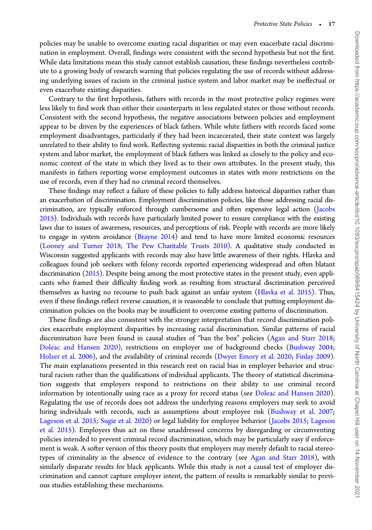policies may be unable to overcome existing racial disparities or may even exacerbate racial discrimination in employment. Overall, findings were consistent with the second hypothesis but not the first. While data limitations mean this study cannot establish causation, these findings nevertheless contribute to a growing body of research warning that policies regulating the use of records without addressing underlying issues of racism in the criminal justice system and labor market may be ineffectual or even exacerbate existing disparities.

Contrary to the first hypothesis, fathers with records in the most protective policy regimes were less likely to find work than either their counterparts in less regulated states or those without records. Consistent with the second hypothesis, the negative associations between policies and employment appear to be driven by the experiences of black fathers. While white fathers with records faced some employment disadvantages, particularly if they had been incarcerated, their state context was largely unrelated to their ability to find work. Reflecting systemic racial disparities in both the criminal justice system and labor market, the employment of black fathers was linked as closely to the policy and economic context of the state in which they lived as to their own attributes. In the present study, this manifests in fathers reporting worse employment outcomes in states with more restrictions on the use of records, even if they had no criminal record themselves.

These findings may reflect a failure of these policies to fully address historical disparities rather than an exacerbation of discrimination. Employment discrimination policies, like those addressing racial discrimination, are typically enforced through cumbersome and often expensive legal action (Jacobs 2015). Individuals with records have particularly limited power to ensure compliance with the existing laws due to issues of awareness, resources, and perceptions of risk. People with records are more likely to engage in system avoidance (Brayne 2014) and tend to have more limited economic resources (Looney and Turner 2018; The Pew Charitable Trusts 2010). A qualitative study conducted in Wisconsin suggested applicants with records may also have little awareness of their rights. Hlavka and colleagues found job seekers with felony records reported experiencing widespread and often blatant discrimination (2015). Despite being among the most protective states in the present study, even applicants who framed their difficulty finding work as resulting from structural discrimination perceived themselves as having no recourse to push back against an unfair system (Hlavka et al. 2015). Thus, even if these findings reflect reverse causation, it is reasonable to conclude that putting employment discrimination policies on the books may be insufficient to overcome existing patterns of discrimination.

These findings are also consistent with the stronger interpretation that record discrimination policies exacerbate employment disparities by increasing racial discrimination. Similar patterns of racial discrimination have been found in causal studies of "ban the box" policies (Agan and Starr 2018; Doleac and Hansen 2020), restrictions on employer use of background checks (Bushway 2004; Holzer et al. 2006), and the availability of criminal records (Dwyer Emory et al. 2020; Finlay 2009). The main explanations presented in this research rest on racial bias in employer behavior and structural racism rather than the qualifications of individual applicants. The theory of statistical discrimination suggests that employers respond to restrictions on their ability to use criminal record information by intentionally using race as a proxy for record status (see Doleac and Hansen 2020). Regulating the use of records does not address the underlying reasons employers may seek to avoid hiring individuals with records, such as assumptions about employee risk (Bushway et al. 2007; Lageson et al. 2015; Sugie et al. 2020) or legal liability for employee behavior (Jacobs 2015; Lageson et al. 2015). Employers thus act on these unaddressed concerns by disregarding or circumventing policies intended to prevent criminal record discrimination, which may be particularly easy if enforcement is weak. A softer version of this theory posits that employers may merely default to racial stereotypes of criminality in the absence of evidence to the contrary (see Agan and Starr 2018), with similarly disparate results for black applicants. While this study is not a causal test of employer discrimination and cannot capture employer intent, the pattern of results is remarkably similar to previous studies establishing these mechanisms.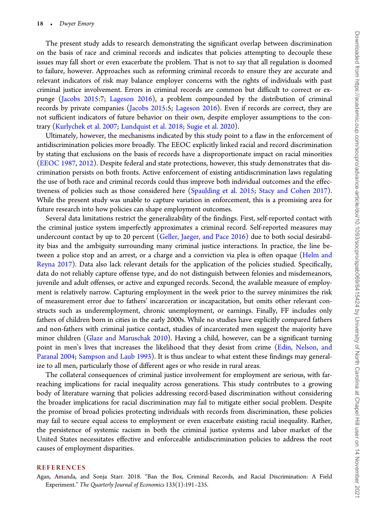The present study adds to research demonstrating the significant overlap between discrimination on the basis of race and criminal records and indicates that policies attempting to decouple these issues may fall short or even exacerbate the problem. That is not to say that all regulation is doomed to failure, however. Approaches such as reforming criminal records to ensure they are accurate and relevant indicators of risk may balance employer concerns with the rights of individuals with past criminal justice involvement. Errors in criminal records are common but difficult to correct or expunge (Jacobs 2015:7; Lageson 2016), a problem compounded by the distribution of criminal records by private companies (Jacobs 2015:5; Lageson 2016). Even if records are correct, they are not sufficient indicators of future behavior on their own, despite employer assumptions to the contrary (Kurlychek et al. 2007; Lundquist et al. 2018; Sugie et al. 2020).

Ultimately, however, the mechanisms indicated by this study point to a flaw in the enforcement of antidiscrimination policies more broadly. The EEOC explicitly linked racial and record discrimination by stating that exclusions on the basis of records have a disproportionate impact on racial minorities (EEOC 1987, 2012). Despite federal and state protections, however, this study demonstrates that discrimination persists on both fronts. Active enforcement of existing antidiscrimination laws regulating the use of both race and criminal records could thus improve both individual outcomes and the effectiveness of policies such as those considered here (Spaulding et al. 2015; Stacy and Cohen 2017). While the present study was unable to capture variation in enforcement, this is a promising area for future research into how policies can shape employment outcomes.

Several data limitations restrict the generalizability of the findings. First, self-reported contact with the criminal justice system imperfectly approximates a criminal record. Self-reported measures may undercount contact by up to 20 percent (Geller, Jaeger, and Pace 2016) due to both social desirability bias and the ambiguity surrounding many criminal justice interactions. In practice, the line between a police stop and an arrest, or a charge and a conviction via plea is often opaque (Helm and Reyna 2017). Data also lack relevant details for the application of the policies studied. Specifically, data do not reliably capture offense type, and do not distinguish between felonies and misdemeanors, juvenile and adult offenses, or active and expunged records. Second, the available measure of employment is relatively narrow. Capturing employment in the week prior to the survey minimizes the risk of measurement error due to fathers' incarceration or incapacitation, but omits other relevant constructs such as underemployment, chronic unemployment, or earnings. Finally, FF includes only fathers of children born in cities in the early 2000s. While no studies have explicitly compared fathers and non-fathers with criminal justice contact, studies of incarcerated men suggest the majority have minor children (Glaze and Maruschak 2010). Having a child, however, can be a significant turning point in men's lives that increases the likelihood that they desist from crime (Edin, Nelson, and Paranal 2004; Sampson and Laub 1993). It is thus unclear to what extent these findings may generalize to all men, particularly those of different ages or who reside in rural areas.

The collateral consequences of criminal justice involvement for employment are serious, with farreaching implications for racial inequality across generations. This study contributes to a growing body of literature warning that policies addressing record-based discrimination without considering the broader implications for racial discrimination may fail to mitigate either social problem. Despite the promise of broad policies protecting individuals with records from discrimination, these policies may fail to secure equal access to employment or even exacerbate existing racial inequality. Rather, the persistence of systemic racism in both the criminal justice systems and labor market of the United States necessitates effective and enforceable antidiscrimination policies to address the root causes of employment disparities.

#### REFERENCES

Agan, Amanda, and Sonja Starr. 2018. "Ban the Box, Criminal Records, and Racial Discrimination: A Field Experiment." The Quarterly Journal of Economics 133(1):191–235.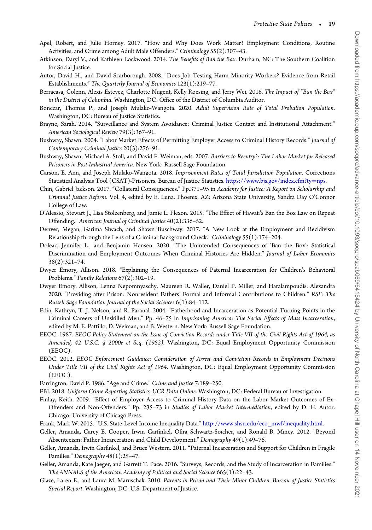- Apel, Robert, and Julie Horney. 2017. "How and Why Does Work Matter? Employment Conditions, Routine Activities, and Crime among Adult Male Offenders." Criminology 55(2):307–43.
- Atkinson, Daryl V., and Kathleen Lockwood. 2014. The Benefits of Ban the Box. Durham, NC: The Southern Coalition for Social Justice.
- Autor, David H., and David Scarborough. 2008. "Does Job Testing Harm Minority Workers? Evidence from Retail Establishments." The Quarterly Journal of Economics 123(1):219–77.
- Berracasa, Colenn, Alexis Estevez, Charlotte Nugent, Kelly Roesing, and Jerry Wei. 2016. The Impact of "Ban the Box" in the District of Columbia. Washington, DC: Office of the District of Columbia Auditor.
- Bonczar, Thomas P., and Joseph Mulako-Wangota. 2020. Adult Supervision Rate of Total Probation Population. Washington, DC: Bureau of Justice Statistics.
- Brayne, Sarah. 2014. "Surveillance and System Avoidance: Criminal Justice Contact and Institutional Attachment." American Sociological Review 79(3):367–91.
- Bushway, Shawn. 2004. "Labor Market Effects of Permitting Employer Access to Criminal History Records." Journal of Contemporary Criminal Justice 20(3):276–91.
- Bushway, Shawn, Michael A. Stoll, and David F. Weiman, eds. 2007. Barriers to Reentry?: The Labor Market for Released Prisoners in Post-Industrial America. New York: Russell Sage Foundation.
- Carson, E. Ann, and Joseph Mulako-Wangota. 2018. Imprisonment Rates of Total Jurisdiction Population. Corrections Statistical Analysis Tool (CSAT)-Prisoners. Bureau of Justice Statistics. https://www.bjs.gov/index.cfm?ty=nps.
- Chin, Gabriel Jackson. 2017. "Collateral Consequences." Pp.371–95 in Academy for Justice: A Report on Scholarship and Criminal Justice Reform. Vol. 4, edited by E. Luna. Phoenix, AZ: Arizona State University, Sandra Day O'Connor College of Law.
- D'Alessio, Stewart J., Lisa Stolzenberg, and Jamie L. Flexon. 2015. "The Effect of Hawaii's Ban the Box Law on Repeat Offending." American Journal of Criminal Justice 40(2):336–52.
- Denver, Megan, Garima Siwach, and Shawn Buschway. 2017. "A New Look at the Employment and Recidivism Relationship through the Lens of a Criminal Background Check." Criminology 55(1):174–204.
- Doleac, Jennifer L., and Benjamin Hansen. 2020. "The Unintended Consequences of 'Ban the Box': Statistical Discrimination and Employment Outcomes When Criminal Histories Are Hidden." Journal of Labor Economics 38(2):321–74.
- Dwyer Emory, Allison. 2018. "Explaining the Consequences of Paternal Incarceration for Children's Behavioral Problems." Family Relations 67(2):302–19.
- Dwyer Emory, Allison, Lenna Nepomnyaschy, Maureen R. Waller, Daniel P. Miller, and Haralampoudis. Alexandra 2020. "Providing after Prison: Nonresident Fathers' Formal and Informal Contributions to Children." RSF: The Russell Sage Foundation Journal of the Social Sciences 6(1):84–112.
- Edin, Kathryn, T. J. Nelson, and R. Paranal. 2004. "Fatherhood and Incarceration as Potential Turning Points in the Criminal Careers of Unskilled Men." Pp. 46–75 in Imprisoning America: The Social Effects of Mass Incarceration, edited by M. E. Pattillo, D. Weiman, and B. Western. New York: Russell Sage Foundation.
- EEOC. 1987. EEOC Policy Statement on the Issue of Conviction Records under Title VII of the Civil Rights Act of 1964, as Amended, 42 U.S.C. § 2000e et Seq. (1982). Washington, DC: Equal Employment Opportunity Commission (EEOC).
- EEOC. 2012. EEOC Enforcement Guidance: Consideration of Arrest and Conviction Records in Employment Decisions Under Title VII of the Civil Rights Act of 1964. Washington, DC: Equal Employment Opportunity Commission (EEOC).
- Farrington, David P. 1986. "Age and Crime." Crime and Justice 7:189–250.
- FBI. 2018. Uniform Crime Reporting Statistics. UCR Data Online. Washington, DC: Federal Bureau of Investigation.
- Finlay, Keith. 2009. "Effect of Employer Access to Criminal History Data on the Labor Market Outcomes of Ex-Offenders and Non-Offenders." Pp. 235–73 in Studies of Labor Market Intermediation, edited by D. H. Autor. Chicago: University of Chicago Press.
- Frank, Mark W. 2015. "U.S. State-Level Income Inequality Data." http://www.shsu.edu/eco\_mwf/inequality.html.
- Geller, Amanda, Carey E. Cooper, Irwin Garfinkel, Ofira Schwartz-Soicher, and Ronald B. Mincy. 2012. "Beyond Absenteeism: Father Incarceration and Child Development." Demography 49(1):49–76.
- Geller, Amanda, Irwin Garfinkel, and Bruce Western. 2011. "Paternal Incarceration and Support for Children in Fragile Families." Demography 48(1):25–47.
- Geller, Amanda, Kate Jaeger, and Garrett T. Pace. 2016. "Surveys, Records, and the Study of Incarceration in Families." The ANNALS of the American Academy of Political and Social Science 665(1):22–43.
- Glaze, Laren E., and Laura M. Maruschak. 2010. Parents in Prison and Their Minor Children. Bureau of Justice Statistics Special Report. Washington, DC: U.S. Department of Justice.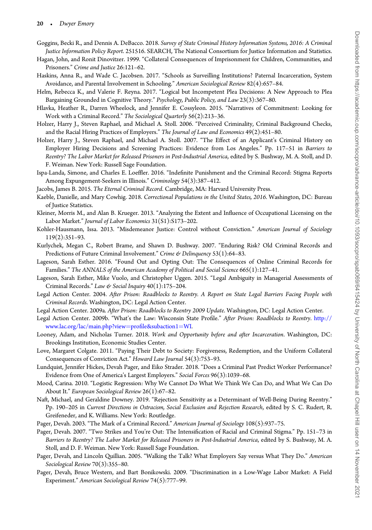- Goggins, Becki R., and Dennis A. DeBacco. 2018. Survey of State Criminal History Information Systems, 2016: A Criminal Justice Information Policy Report. 251516. SEARCH, The National Consortium for Justice Information and Statistics.
- Hagan, John, and Ronit Dinovitzer. 1999. "Collateral Consequences of Imprisonment for Children, Communities, and Prisoners." Crime and Justice 26:121–62.
- Haskins, Anna R., and Wade C. Jacobsen. 2017. "Schools as Surveilling Institutions? Paternal Incarceration, System Avoidance, and Parental Involvement in Schooling." American Sociological Review 82(4):657–84.
- Helm, Rebecca K., and Valerie F. Reyna. 2017. "Logical but Incompetent Plea Decisions: A New Approach to Plea Bargaining Grounded in Cognitive Theory." Psychology, Public Policy, and Law 23(3):367–80.
- Hlavka, Heather R., Darren Wheelock, and Jennifer E. Cossyleon. 2015. "Narratives of Commitment: Looking for Work with a Criminal Record." The Sociological Quarterly 56(2):213–36.
- Holzer, Harry J., Steven Raphael, and Michael A. Stoll. 2006. "Perceived Criminality, Criminal Background Checks, and the Racial Hiring Practices of Employers." The Journal of Law and Economics 49(2):451–80.
- Holzer, Harry J., Steven Raphael, and Michael A. Stoll. 2007. "The Effect of an Applicant's Criminal History on Employer Hiring Decisions and Screening Practices: Evidence from Los Angeles." Pp. 117–51 in Barriers to Reentry? The Labor Market for Released Prisoners in Post-Industrial America, edited by S. Bushway, M. A. Stoll, and D. F. Weiman. New York: Russell Sage Foundation.
- Ispa-Landa, Simone, and Charles E. Loeffler. 2016. "Indefinite Punishment and the Criminal Record: Stigma Reports Among Expungement-Seekers in Illinois." Criminology 54(3):387–412.
- Jacobs, James B. 2015. The Eternal Criminal Record. Cambridge, MA: Harvard University Press.
- Kaeble, Danielle, and Mary Cowhig. 2018. Correctional Populations in the United States, 2016. Washington, DC: Bureau of Justice Statistics.
- Kleiner, Morris M., and Alan B. Krueger. 2013. "Analyzing the Extent and Influence of Occupational Licensing on the Labor Market." Journal of Labor Economics 31(S1):S173–202.
- Kohler-Hausmann, Issa. 2013. "Misdemeanor Justice: Control without Conviction." American Journal of Sociology 119(2):351–93.
- Kurlychek, Megan C., Robert Brame, and Shawn D. Bushway. 2007. "Enduring Risk? Old Criminal Records and Predictions of Future Criminal Involvement." Crime & Delinquency 53(1):64-83.
- Lageson, Sarah Esther. 2016. "Found Out and Opting Out: The Consequences of Online Criminal Records for Families." The ANNALS of the American Academy of Political and Social Science 665(1):127–41.
- Lageson, Sarah Esther, Mike Vuolo, and Christopher Uggen. 2015. "Legal Ambiguity in Managerial Assessments of Criminal Records." Law & Social Inquiry 40(1):175–204.
- Legal Action Center. 2004. After Prison: Roadblocks to Reentry. A Report on State Legal Barriers Facing People with Criminal Records. Washington, DC: Legal Action Center.
- Legal Action Center. 2009a. After Prison: Roadblocks to Reentry 2009 Update. Washington, DC: Legal Action Center.
- Legal Action Center. 2009b. "What's the Law: Wisconsin State Profile." After Prison: Roadblocks to Reentry. http:// www.lac.org/lac/main.php?view=profile&subaction1=WI.
- Looney, Adam, and Nicholas Turner. 2018. Work and Opportunity before and after Incarceration. Washington, DC: Brookings Institution, Economic Studies Center.
- Love, Margaret Colgate. 2011. "Paying Their Debt to Society: Forgiveness, Redemption, and the Uniform Collateral Consequences of Conviction Act." Howard Law Journal 54(3):753–93.
- Lundquist, Jennifer Hickes, Devah Pager, and Eiko Strader. 2018. "Does a Criminal Past Predict Worker Performance? Evidence from One of America's Largest Employers." Social Forces 96(3):1039–68.
- Mood, Carina. 2010. "Logistic Regression: Why We Cannot Do What We Think We Can Do, and What We Can Do About It." European Sociological Review 26(1):67–82.
- Naft, Michael, and Geraldine Downey. 2019. "Rejection Sensitivity as a Determinant of Well-Being During Reentry." Pp. 190–205 in Current Directions in Ostracism, Social Exclusion and Rejection Research, edited by S. C. Rudert, R. Greifeneder, and K. Williams. New York: Routledge.
- Pager, Devah. 2003. "The Mark of a Criminal Record." American Journal of Sociology 108(5):937–75.
- Pager, Devah. 2007. "Two Strikes and You're Out: The Intensification of Racial and Criminal Stigma." Pp. 151–73 in Barriers to Reentry? The Labor Market for Released Prisoners in Post-Industrial America, edited by S. Bushway, M. A. Stoll, and D. F. Weiman. New York: Russell Sage Foundation.
- Pager, Devah, and Lincoln Quillian. 2005. "Walking the Talk? What Employers Say versus What They Do." American Sociological Review 70(3):355-80.
- Pager, Devah, Bruce Western, and Bart Bonikowski. 2009. "Discrimination in a Low-Wage Labor Market: A Field Experiment." American Sociological Review 74(5):777–99.